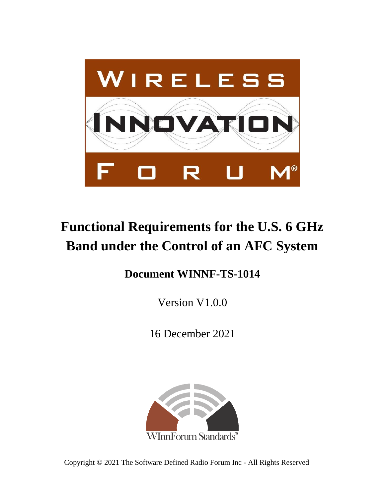

# **Functional Requirements for the U.S. 6 GHz Band under the Control of an AFC System**

## **Document WINNF-TS-1014**

Version V1.0.0

16 December 2021



Copyright © 2021 The Software Defined Radio Forum Inc - All Rights Reserved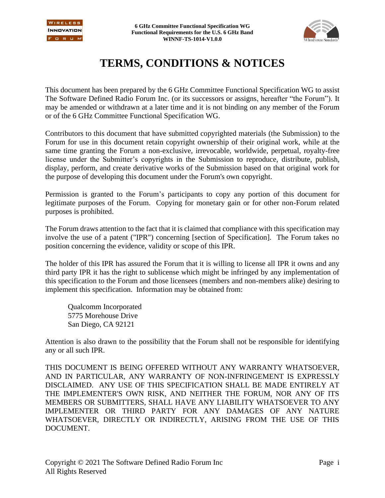



## **TERMS, CONDITIONS & NOTICES**

This document has been prepared by the 6 GHz Committee Functional Specification WG to assist The Software Defined Radio Forum Inc. (or its successors or assigns, hereafter "the Forum"). It may be amended or withdrawn at a later time and it is not binding on any member of the Forum or of the 6 GHz Committee Functional Specification WG.

Contributors to this document that have submitted copyrighted materials (the Submission) to the Forum for use in this document retain copyright ownership of their original work, while at the same time granting the Forum a non-exclusive, irrevocable, worldwide, perpetual, royalty-free license under the Submitter's copyrights in the Submission to reproduce, distribute, publish, display, perform, and create derivative works of the Submission based on that original work for the purpose of developing this document under the Forum's own copyright.

Permission is granted to the Forum's participants to copy any portion of this document for legitimate purposes of the Forum. Copying for monetary gain or for other non-Forum related purposes is prohibited.

The Forum draws attention to the fact that it is claimed that compliance with this specification may involve the use of a patent ("IPR") concerning [section of Specification]. The Forum takes no position concerning the evidence, validity or scope of this IPR.

The holder of this IPR has assured the Forum that it is willing to license all IPR it owns and any third party IPR it has the right to sublicense which might be infringed by any implementation of this specification to the Forum and those licensees (members and non-members alike) desiring to implement this specification. Information may be obtained from:

Qualcomm Incorporated 5775 Morehouse Drive San Diego, CA 92121

Attention is also drawn to the possibility that the Forum shall not be responsible for identifying any or all such IPR.

THIS DOCUMENT IS BEING OFFERED WITHOUT ANY WARRANTY WHATSOEVER, AND IN PARTICULAR, ANY WARRANTY OF NON-INFRINGEMENT IS EXPRESSLY DISCLAIMED. ANY USE OF THIS SPECIFICATION SHALL BE MADE ENTIRELY AT THE IMPLEMENTER'S OWN RISK, AND NEITHER THE FORUM, NOR ANY OF ITS MEMBERS OR SUBMITTERS, SHALL HAVE ANY LIABILITY WHATSOEVER TO ANY IMPLEMENTER OR THIRD PARTY FOR ANY DAMAGES OF ANY NATURE WHATSOEVER, DIRECTLY OR INDIRECTLY, ARISING FROM THE USE OF THIS DOCUMENT.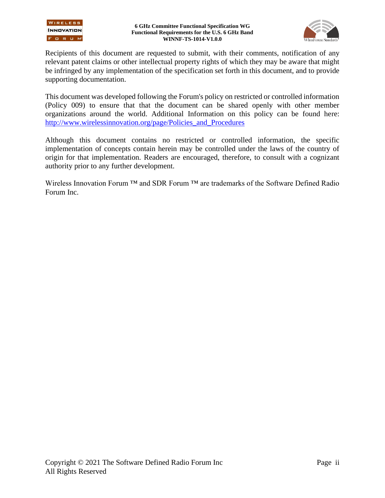

Recipients of this document are requested to submit, with their comments, notification of any relevant patent claims or other intellectual property rights of which they may be aware that might be infringed by any implementation of the specification set forth in this document, and to provide supporting documentation.

This document was developed following the Forum's policy on restricted or controlled information (Policy 009) to ensure that that the document can be shared openly with other member organizations around the world. Additional Information on this policy can be found here: [http://www.wirelessinnovation.org/page/Policies\\_and\\_Procedures](http://www.wirelessinnovation.org/page/Policies_and_Procedures)

Although this document contains no restricted or controlled information, the specific implementation of concepts contain herein may be controlled under the laws of the country of origin for that implementation. Readers are encouraged, therefore, to consult with a cognizant authority prior to any further development.

Wireless Innovation Forum ™ and SDR Forum ™ are trademarks of the Software Defined Radio Forum Inc.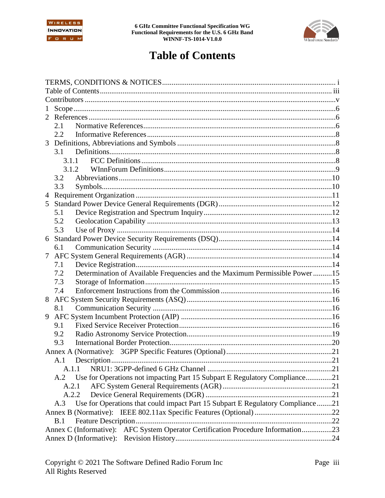



## **Table of Contents**

| $\mathbf{1}$   |       |                                                                                  |  |
|----------------|-------|----------------------------------------------------------------------------------|--|
| $\mathfrak{L}$ |       |                                                                                  |  |
|                | 2.1   |                                                                                  |  |
|                | 2.2   |                                                                                  |  |
|                |       |                                                                                  |  |
|                | 3.1   |                                                                                  |  |
|                | 3.1.1 |                                                                                  |  |
|                | 3.1.2 |                                                                                  |  |
|                | 3.2   |                                                                                  |  |
|                | 3.3   |                                                                                  |  |
| 4              |       |                                                                                  |  |
| 5              |       |                                                                                  |  |
|                | 5.1   |                                                                                  |  |
|                | 5.2   |                                                                                  |  |
|                | 5.3   |                                                                                  |  |
| 6              |       |                                                                                  |  |
|                | 6.1   |                                                                                  |  |
| $\tau$         |       |                                                                                  |  |
|                | 7.1   |                                                                                  |  |
|                | 7.2   | Determination of Available Frequencies and the Maximum Permissible Power 15      |  |
|                | 7.3   |                                                                                  |  |
|                | 7.4   |                                                                                  |  |
| 8              |       |                                                                                  |  |
|                | 8.1   |                                                                                  |  |
| 9              |       |                                                                                  |  |
|                | 9.1   |                                                                                  |  |
|                | 9.2   |                                                                                  |  |
|                | 9.3   |                                                                                  |  |
|                |       |                                                                                  |  |
|                | A.1   |                                                                                  |  |
|                | A.1.1 |                                                                                  |  |
|                |       | A.2 Use for Operations not impacting Part 15 Subpart E Regulatory Compliance21   |  |
|                | A.2.1 |                                                                                  |  |
|                | A.2.2 |                                                                                  |  |
|                | A.3   | Use for Operations that could impact Part 15 Subpart E Regulatory Compliance21   |  |
|                |       |                                                                                  |  |
|                | B.1   |                                                                                  |  |
|                |       | Annex C (Informative): AFC System Operator Certification Procedure Information23 |  |
|                |       |                                                                                  |  |
|                |       |                                                                                  |  |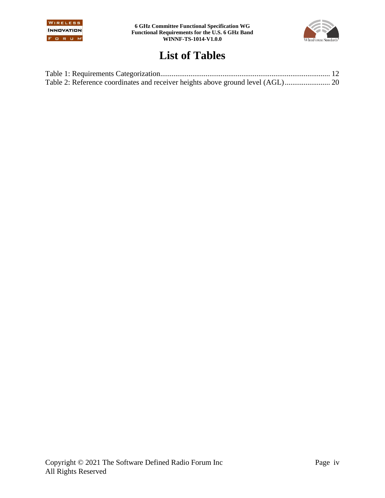



## **List of Tables**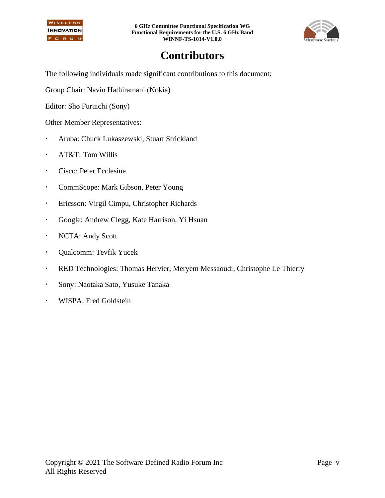

**6 GHz Committee Functional Specification WG Functional Requirements for the U.S. 6 GHz Band WINNF-TS-1014-V1.0.0**



## **Contributors**

The following individuals made significant contributions to this document:

Group Chair: Navin Hathiramani (Nokia)

Editor: Sho Furuichi (Sony)

Other Member Representatives:

- Aruba: Chuck Lukaszewski, Stuart Strickland
- AT&T: Tom Willis
- Cisco: Peter Ecclesine
- CommScope: Mark Gibson, Peter Young
- Ericsson: Virgil Cimpu, Christopher Richards
- Google: Andrew Clegg, Kate Harrison, Yi Hsuan
- NCTA: Andy Scott
- Qualcomm: Tevfik Yucek
- RED Technologies: Thomas Hervier, Meryem Messaoudi, Christophe Le Thierry
- Sony: Naotaka Sato, Yusuke Tanaka
- WISPA: Fred Goldstein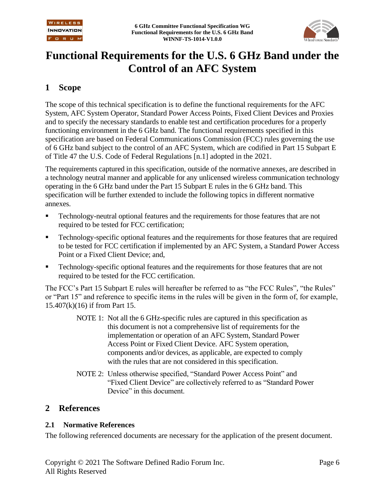

## **Functional Requirements for the U.S. 6 GHz Band under the Control of an AFC System**

## **1 Scope**

The scope of this technical specification is to define the functional requirements for the AFC System, AFC System Operator, Standard Power Access Points, Fixed Client Devices and Proxies and to specify the necessary standards to enable test and certification procedures for a properly functioning environment in the 6 GHz band. The functional requirements specified in this specification are based on Federal Communications Commission (FCC) rules governing the use of 6 GHz band subject to the control of an AFC System, which are codified in Part 15 Subpart E of Title 47 the U.S. Code of Federal Regulations [\[n.1\]](#page-7-0) adopted in the 2021.

The requirements captured in this specification, outside of the normative annexes, are described in a technology neutral manner and applicable for any unlicensed wireless communication technology operating in the 6 GHz band under the Part 15 Subpart E rules in the 6 GHz band. This specification will be further extended to include the following topics in different normative annexes.

- Technology-neutral optional features and the requirements for those features that are not required to be tested for FCC certification;
- Technology-specific optional features and the requirements for those features that are required to be tested for FCC certification if implemented by an AFC System, a Standard Power Access Point or a Fixed Client Device; and,
- Technology-specific optional features and the requirements for those features that are not required to be tested for the FCC certification.

The FCC's Part 15 Subpart E rules will hereafter be referred to as "the FCC Rules", "the Rules" or "Part 15" and reference to specific items in the rules will be given in the form of, for example, 15.407(k)(16) if from Part 15.

- NOTE 1: Not all the 6 GHz-specific rules are captured in this specification as this document is not a comprehensive list of requirements for the implementation or operation of an AFC System, Standard Power Access Point or Fixed Client Device. AFC System operation, components and/or devices, as applicable, are expected to comply with the rules that are not considered in this specification.
- NOTE 2: Unless otherwise specified, "Standard Power Access Point" and "Fixed Client Device" are collectively referred to as "Standard Power Device" in this document.

### **2 References**

#### **2.1 Normative References**

The following referenced documents are necessary for the application of the present document.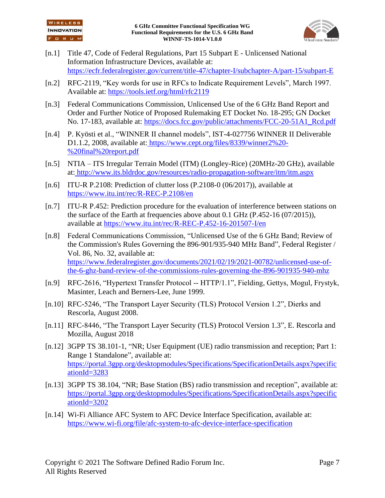

- <span id="page-7-0"></span>[n.1] Title 47, Code of Federal Regulations, Part 15 Subpart E - Unlicensed National Information Infrastructure Devices, available at: <https://ecfr.federalregister.gov/current/title-47/chapter-I/subchapter-A/part-15/subpart-E>
- <span id="page-7-1"></span>[n.2] RFC-2119, "Key words for use in RFCs to Indicate Requirement Levels", March 1997. Available at:<https://tools.ietf.org/html/rfc2119>
- <span id="page-7-5"></span>[n.3] Federal Communications Commission, Unlicensed Use of the 6 GHz Band Report and Order and Further Notice of Proposed Rulemaking ET Docket No. 18-295; GN Docket No. 17-183, available at: [https://docs.fcc.gov/public/attachments/FCC-20-51A1\\_Rcd.pdf](https://docs.fcc.gov/public/attachments/FCC-20-51A1_Rcd.pdf)
- <span id="page-7-6"></span>[n.4] P. Kyösti et al., "WINNER II channel models", IST-4-027756 WINNER II Deliverable D1.1.2, 2008, available at: [https://www.cept.org/files/8339/winner2%20-](https://www.cept.org/files/8339/winner2%20-%20final%20report.pdf) [%20final%20report.pdf](https://www.cept.org/files/8339/winner2%20-%20final%20report.pdf)
- <span id="page-7-7"></span>[n.5] NTIA – ITS Irregular Terrain Model (ITM) (Longley-Rice) (20MHz-20 GHz), available at: <http://www.its.bldrdoc.gov/resources/radio-propagation-software/itm/itm.aspx>
- <span id="page-7-8"></span>[n.6] ITU-R P.2108: Prediction of clutter loss [\(P.2108-0 \(06/2017\)\)](https://www.itu.int/rec/R-REC-P.2108/recommendation.asp?lang=en&parent=R-REC-P.2108-0-201706-I), available at <https://www.itu.int/rec/R-REC-P.2108/en>
- <span id="page-7-9"></span>[n.7] ITU-R P.452: Prediction procedure for the evaluation of interference between stations on the surface of the Earth at frequencies above about 0.1 GHz (P.452-16 (07/2015)), available at <https://www.itu.int/rec/R-REC-P.452-16-201507-I/en>
- <span id="page-7-10"></span>[n.8] Federal Communications Commission, "Unlicensed Use of the 6 GHz Band; Review of the Commission's Rules Governing the 896-901/935-940 MHz Band", Federal Register / Vol. 86, No. 32, available at: [https://www.federalregister.gov/documents/2021/02/19/2021-00782/unlicensed-use-of](https://www.federalregister.gov/documents/2021/02/19/2021-00782/unlicensed-use-of-the-6-ghz-band-review-of-the-commissions-rules-governing-the-896-901935-940-mhz)[the-6-ghz-band-review-of-the-commissions-rules-governing-the-896-901935-940-mhz](https://www.federalregister.gov/documents/2021/02/19/2021-00782/unlicensed-use-of-the-6-ghz-band-review-of-the-commissions-rules-governing-the-896-901935-940-mhz)
- <span id="page-7-2"></span>[n.9] RFC-2616, "Hypertext Transfer Protocol -- HTTP/1.1", Fielding, Gettys, Mogul, Frystyk, Masinter, Leach and Berners-Lee, June 1999.
- <span id="page-7-3"></span>[n.10] RFC-5246, "The Transport Layer Security (TLS) Protocol Version 1.2", Dierks and Rescorla, August 2008.
- <span id="page-7-4"></span>[n.11] RFC-8446, "The Transport Layer Security (TLS) Protocol Version 1.3", E. Rescorla and Mozilla, August 2018
- <span id="page-7-11"></span>[n.12] 3GPP TS 38.101-1, "NR; User Equipment (UE) radio transmission and reception; Part 1: Range 1 Standalone", available at: [https://portal.3gpp.org/desktopmodules/Specifications/SpecificationDetails.aspx?specific](https://portal.3gpp.org/desktopmodules/Specifications/SpecificationDetails.aspx?specificationId=3283) [ationId=3283](https://portal.3gpp.org/desktopmodules/Specifications/SpecificationDetails.aspx?specificationId=3283)
- <span id="page-7-12"></span>[n.13] 3GPP TS 38.104, "NR; Base Station (BS) radio transmission and reception", available at: [https://portal.3gpp.org/desktopmodules/Specifications/SpecificationDetails.aspx?specific](https://portal.3gpp.org/desktopmodules/Specifications/SpecificationDetails.aspx?specificationId=3202) [ationId=3202](https://portal.3gpp.org/desktopmodules/Specifications/SpecificationDetails.aspx?specificationId=3202)
- <span id="page-7-13"></span>[n.14] Wi-Fi Alliance AFC System to AFC Device Interface Specification, available at: <https://www.wi-fi.org/file/afc-system-to-afc-device-interface-specification>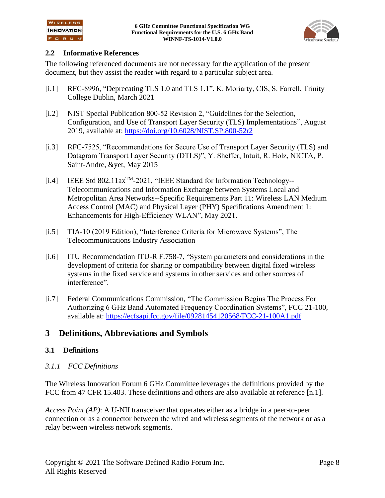

#### **2.2 Informative References**

The following referenced documents are not necessary for the application of the present document, but they assist the reader with regard to a particular subject area.

- <span id="page-8-0"></span>[i.1] RFC-8996, "Deprecating TLS 1.0 and TLS 1.1", K. Moriarty, CIS, S. Farrell, Trinity College Dublin, March 2021
- <span id="page-8-1"></span>[i.2] NIST Special Publication 800-52 Revision 2, "Guidelines for the Selection, Configuration, and Use of Transport Layer Security (TLS) Implementations", August 2019, available at:<https://doi.org/10.6028/NIST.SP.800-52r2>
- <span id="page-8-2"></span>[i.3] RFC-7525, "Recommendations for Secure Use of Transport Layer Security (TLS) and Datagram Transport Layer Security (DTLS)", Y. Sheffer, Intuit, R. Holz, NICTA, P. Saint-Andre, &yet, May 2015
- <span id="page-8-5"></span>[i.4] IEEE Std 802.11ax<sup>TM</sup>-2021, "IEEE Standard for Information Technology--Telecommunications and Information Exchange between Systems Local and Metropolitan Area Networks--Specific Requirements Part 11: Wireless LAN Medium Access Control (MAC) and Physical Layer (PHY) Specifications Amendment 1: Enhancements for High-Efficiency WLAN", May 2021.
- <span id="page-8-4"></span>[i.5] TIA-10 (2019 Edition), "Interference Criteria for Microwave Systems", The Telecommunications Industry Association
- <span id="page-8-3"></span>[i.6] ITU Recommendation ITU-R F.758-7, "System parameters and considerations in the development of criteria for sharing or compatibility between digital fixed wireless systems in the fixed service and systems in other services and other sources of interference".
- <span id="page-8-6"></span>[i.7] Federal Communications Commission, "The Commission Begins The Process For Authorizing 6 GHz Band Automated Frequency Coordination Systems", FCC 21-100, available at:<https://ecfsapi.fcc.gov/file/09281454120568/FCC-21-100A1.pdf>

## **3 Definitions, Abbreviations and Symbols**

#### **3.1 Definitions**

#### *3.1.1 FCC Definitions*

The Wireless Innovation Forum 6 GHz Committee leverages the definitions provided by the FCC from 47 CFR 15.403. These definitions and others are also available at reference [\[n.1\].](#page-7-0)

*Access Point (AP)*: A U-NII transceiver that operates either as a bridge in a peer-to-peer connection or as a connector between the wired and wireless segments of the network or as a relay between wireless network segments.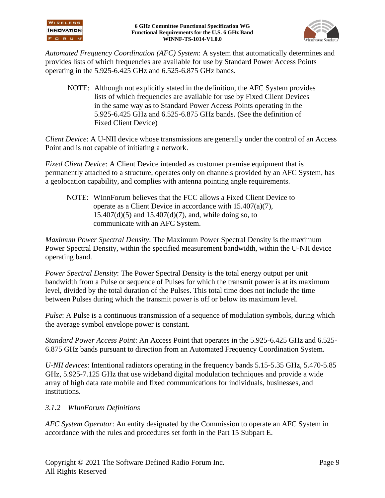

*Automated Frequency Coordination (AFC) System*: A system that automatically determines and provides lists of which frequencies are available for use by Standard Power Access Points operating in the 5.925-6.425 GHz and 6.525-6.875 GHz bands.

NOTE: Although not explicitly stated in the definition, the AFC System provides lists of which frequencies are available for use by Fixed Client Devices in the same way as to Standard Power Access Points operating in the 5.925-6.425 GHz and 6.525-6.875 GHz bands. (See the definition of Fixed Client Device)

*Client Device*: A U-NII device whose transmissions are generally under the control of an Access Point and is not capable of initiating a network.

*Fixed Client Device*: A Client Device intended as customer premise equipment that is permanently attached to a structure, operates only on channels provided by an AFC System, has a geolocation capability, and complies with antenna pointing angle requirements.

NOTE: WInnForum believes that the FCC allows a Fixed Client Device to operate as a Client Device in accordance with 15.407(a)(7),  $15.407(d)(5)$  and  $15.407(d)(7)$ , and, while doing so, to communicate with an AFC System.

*Maximum Power Spectral Density*: The Maximum Power Spectral Density is the maximum Power Spectral Density, within the specified measurement bandwidth, within the U-NII device operating band.

*Power Spectral Density*: The Power Spectral Density is the total energy output per unit bandwidth from a Pulse or sequence of Pulses for which the transmit power is at its maximum level, divided by the total duration of the Pulses. This total time does not include the time between Pulses during which the transmit power is off or below its maximum level.

*Pulse*: A Pulse is a continuous transmission of a sequence of modulation symbols, during which the average symbol envelope power is constant.

*Standard Power Access Point*: An Access Point that operates in the 5.925-6.425 GHz and 6.525- 6.875 GHz bands pursuant to direction from an Automated Frequency Coordination System.

*U-NII devices*: Intentional radiators operating in the frequency bands 5.15-5.35 GHz, 5.470-5.85 GHz, 5.925-7.125 GHz that use wideband digital modulation techniques and provide a wide array of high data rate mobile and fixed communications for individuals, businesses, and institutions.

#### *3.1.2 WInnForum Definitions*

*AFC System Operator*: An entity designated by the Commission to operate an AFC System in accordance with the rules and procedures set forth in the Part 15 Subpart E.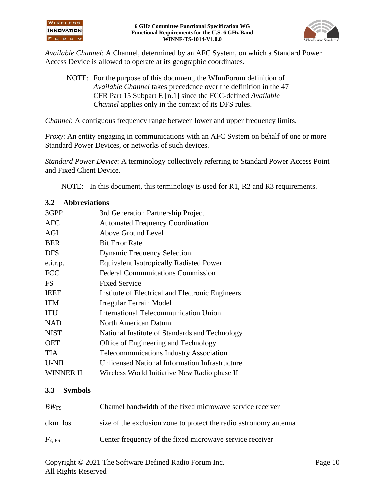



*Available Channel*: A Channel, determined by an AFC System, on which a Standard Power Access Device is allowed to operate at its geographic coordinates.

NOTE: For the purpose of this document, the WInnForum definition of *Available Channel* takes precedence over the definition in the 47 CFR Part 15 Subpart E [\[n.1\]](#page-7-0) since the FCC-defined *Available Channel* applies only in the context of its DFS rules.

*Channel*: A contiguous frequency range between lower and upper frequency limits.

*Proxy*: An entity engaging in communications with an AFC System on behalf of one or more Standard Power Devices, or networks of such devices.

*Standard Power Device*: A terminology collectively referring to Standard Power Access Point and Fixed Client Device.

NOTE: In this document, this terminology is used for R1, R2 and R3 requirements.

#### **3.2 Abbreviations**

| 3GPP             | 3rd Generation Partnership Project               |
|------------------|--------------------------------------------------|
| <b>AFC</b>       | <b>Automated Frequency Coordination</b>          |
| <b>AGL</b>       | Above Ground Level                               |
| <b>BER</b>       | <b>Bit Error Rate</b>                            |
| <b>DFS</b>       | <b>Dynamic Frequency Selection</b>               |
| e.i.r.p.         | <b>Equivalent Isotropically Radiated Power</b>   |
| <b>FCC</b>       | <b>Federal Communications Commission</b>         |
| FS               | <b>Fixed Service</b>                             |
| <b>IEEE</b>      | Institute of Electrical and Electronic Engineers |
| <b>ITM</b>       | Irregular Terrain Model                          |
| ITU              | <b>International Telecommunication Union</b>     |
| <b>NAD</b>       | North American Datum                             |
| <b>NIST</b>      | National Institute of Standards and Technology   |
| <b>OET</b>       | Office of Engineering and Technology             |
| TIA              | <b>Telecommunications Industry Association</b>   |
| U-NII            | Unlicensed National Information Infrastructure   |
| <b>WINNER II</b> | Wireless World Initiative New Radio phase II     |
|                  |                                                  |

#### **3.3 Symbols**

| $BW_{\rm FS}$ | Channel bandwidth of the fixed microwave service receiver         |
|---------------|-------------------------------------------------------------------|
| dkm los       | size of the exclusion zone to protect the radio astronomy antenna |
| $F_{c.}$ FS   | Center frequency of the fixed microwave service receiver          |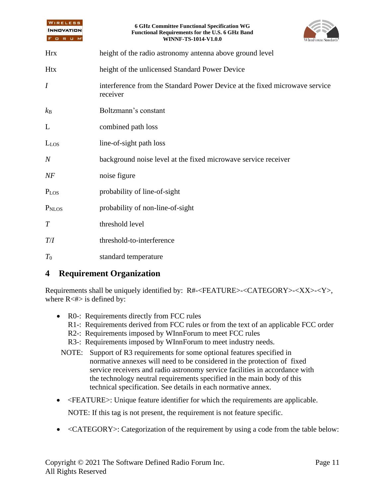| WIRELESS<br><b>INNOVATION</b><br>FORUM | <b>6 GHz Committee Functional Specification WG</b><br>Functional Requirements for the U.S. 6 GHz Band<br>WINNF-TS-1014-V1.0.0<br>WInnForum Stand: |  |  |
|----------------------------------------|---------------------------------------------------------------------------------------------------------------------------------------------------|--|--|
| <b>Hrx</b>                             | height of the radio astronomy antenna above ground level                                                                                          |  |  |
| <b>Htx</b>                             | height of the unlicensed Standard Power Device                                                                                                    |  |  |
| $\boldsymbol{I}$                       | interference from the Standard Power Device at the fixed microwave service<br>receiver                                                            |  |  |
| $k_{\rm B}$                            | Boltzmann's constant                                                                                                                              |  |  |
| L                                      | combined path loss                                                                                                                                |  |  |
| $L_{LOS}$                              | line-of-sight path loss                                                                                                                           |  |  |
| $\overline{N}$                         | background noise level at the fixed microwave service receiver                                                                                    |  |  |
| NF                                     | noise figure                                                                                                                                      |  |  |
| $P_{LOS}$                              | probability of line-of-sight                                                                                                                      |  |  |
| P <sub>NLOS</sub>                      | probability of non-line-of-sight                                                                                                                  |  |  |
| T                                      | threshold level                                                                                                                                   |  |  |
| $T\!/\!I$                              | threshold-to-interference                                                                                                                         |  |  |
| $T_0$                                  | standard temperature                                                                                                                              |  |  |

## **4 Requirement Organization**

Requirements shall be uniquely identified by: R#-<FEATURE>-<CATEGORY>-<XX>-<Y>, where  $R \lt \#$  is defined by:

- R0-: Requirements directly from FCC rules
	- R1-: Requirements derived from FCC rules or from the text of an applicable FCC order
	- R2-: Requirements imposed by WInnForum to meet FCC rules
	- R3-: Requirements imposed by WInnForum to meet industry needs.
- NOTE: Support of R3 requirements for some optional features specified in normative annexes will need to be considered in the protection of fixed service receivers and radio astronomy service facilities in accordance with the technology neutral requirements specified in the main body of this technical specification. See details in each normative annex.
- <FEATURE>: Unique feature identifier for which the requirements are applicable.

NOTE: If this tag is not present, the requirement is not feature specific.

• <CATEGORY>: Categorization of the requirement by using a code from the table below: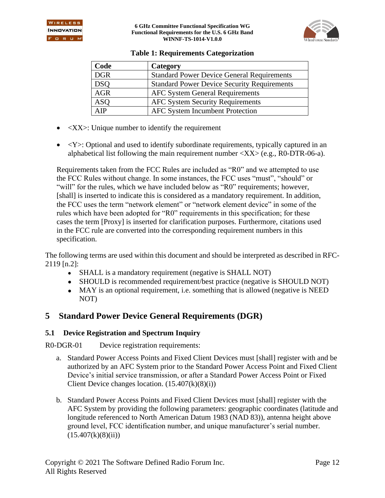

| <b>Table 1: Requirements Categorization</b> |  |
|---------------------------------------------|--|
|---------------------------------------------|--|

| Code       | Category                                           |
|------------|----------------------------------------------------|
| <b>DGR</b> | <b>Standard Power Device General Requirements</b>  |
| <b>DSQ</b> | <b>Standard Power Device Security Requirements</b> |
| <b>AGR</b> | <b>AFC System General Requirements</b>             |
| <b>ASQ</b> | <b>AFC System Security Requirements</b>            |
| AIP        | <b>AFC System Incumbent Protection</b>             |

- $\bullet$   $\langle$ XX $\rangle$ : Unique number to identify the requirement
- $\langle Y \rangle$ : Optional and used to identify subordinate requirements, typically captured in an alphabetical list following the main requirement number  $\langle XX \rangle$  (e.g., R0-DTR-06-a).

Requirements taken from the FCC Rules are included as "R0" and we attempted to use the FCC Rules without change. In some instances, the FCC uses "must", "should" or "will" for the rules, which we have included below as "R0" requirements; however, [shall] is inserted to indicate this is considered as a mandatory requirement. In addition, the FCC uses the term "network element" or "network element device" in some of the rules which have been adopted for "R0" requirements in this specification; for these cases the term [Proxy] is inserted for clarification purposes. Furthermore, citations used in the FCC rule are converted into the corresponding requirement numbers in this specification.

The following terms are used within this document and should be interpreted as described in RFC-2119 [\[n.2\]:](#page-7-1)

- SHALL is a mandatory requirement (negative is SHALL NOT)
- SHOULD is recommended requirement/best practice (negative is SHOULD NOT)
- MAY is an optional requirement, i.e. something that is allowed (negative is NEED NOT)

## **5 Standard Power Device General Requirements (DGR)**

#### **5.1 Device Registration and Spectrum Inquiry**

R0-DGR-01 Device registration requirements:

- a. Standard Power Access Points and Fixed Client Devices must [shall] register with and be authorized by an AFC System prior to the Standard Power Access Point and Fixed Client Device's initial service transmission, or after a Standard Power Access Point or Fixed Client Device changes location.  $(15.407(k)(8)(i))$
- b. Standard Power Access Points and Fixed Client Devices must [shall] register with the AFC System by providing the following parameters: geographic coordinates (latitude and longitude referenced to North American Datum 1983 (NAD 83)), antenna height above ground level, FCC identification number, and unique manufacturer's serial number.  $(15.407(k)(8)(ii))$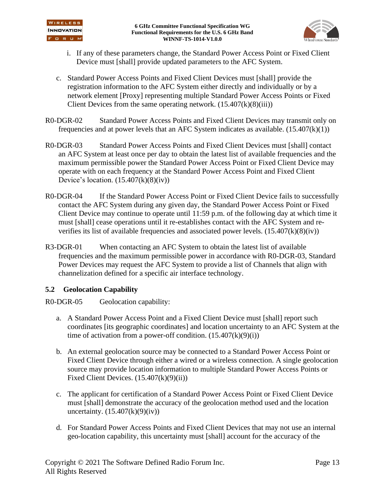

- i. If any of these parameters change, the Standard Power Access Point or Fixed Client Device must [shall] provide updated parameters to the AFC System.
- c. Standard Power Access Points and Fixed Client Devices must [shall] provide the registration information to the AFC System either directly and individually or by a network element [Proxy] representing multiple Standard Power Access Points or Fixed Client Devices from the same operating network.  $(15.407(k)(8)(iii))$
- R0-DGR-02 Standard Power Access Points and Fixed Client Devices may transmit only on frequencies and at power levels that an AFC System indicates as available.  $(15.407(k)(1))$
- <span id="page-13-0"></span>R0-DGR-03 Standard Power Access Points and Fixed Client Devices must [shall] contact an AFC System at least once per day to obtain the latest list of available frequencies and the maximum permissible power the Standard Power Access Point or Fixed Client Device may operate with on each frequency at the Standard Power Access Point and Fixed Client Device's location.  $(15.407(k)(8)(iv))$
- R0-DGR-04 If the Standard Power Access Point or Fixed Client Device fails to successfully contact the AFC System during any given day, the Standard Power Access Point or Fixed Client Device may continue to operate until 11:59 p.m. of the following day at which time it must [shall] cease operations until it re-establishes contact with the AFC System and reverifies its list of available frequencies and associated power levels.  $(15.407(k)(8)(iv))$
- <span id="page-13-1"></span>R3-DGR-01 When contacting an AFC System to obtain the latest list of available frequencies and the maximum permissible power in accordance with [R0-DGR-03,](#page-13-0) Standard Power Devices may request the AFC System to provide a list of Channels that align with channelization defined for a specific air interface technology.

#### **5.2 Geolocation Capability**

R0-DGR-05 Geolocation capability:

- a. A Standard Power Access Point and a Fixed Client Device must [shall] report such coordinates [its geographic coordinates] and location uncertainty to an AFC System at the time of activation from a power-off condition.  $(15.407(k)(9)(i))$
- b. An external geolocation source may be connected to a Standard Power Access Point or Fixed Client Device through either a wired or a wireless connection. A single geolocation source may provide location information to multiple Standard Power Access Points or Fixed Client Devices.  $(15.407(k)(9)(ii))$
- c. The applicant for certification of a Standard Power Access Point or Fixed Client Device must [shall] demonstrate the accuracy of the geolocation method used and the location uncertainty.  $(15.407(k)(9)(iv))$
- d. For Standard Power Access Points and Fixed Client Devices that may not use an internal geo-location capability, this uncertainty must [shall] account for the accuracy of the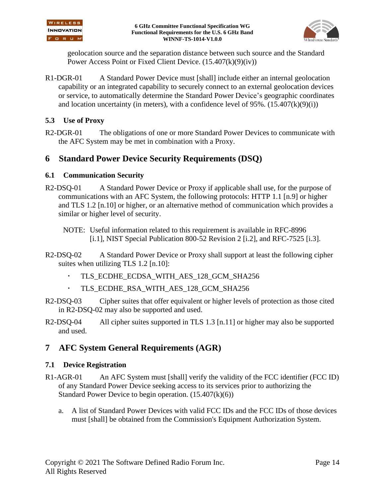



geolocation source and the separation distance between such source and the Standard Power Access Point or Fixed Client Device. (15.407(k)(9)(iv))

R1-DGR-01 A Standard Power Device must [shall] include either an internal geolocation capability or an integrated capability to securely connect to an external geolocation devices or service, to automatically determine the Standard Power Device's geographic coordinates and location uncertainty (in meters), with a confidence level of 95%.  $(15.407(k)(9)(i))$ 

#### **5.3 Use of Proxy**

R2-DGR-01 The obligations of one or more Standard Power Devices to communicate with the AFC System may be met in combination with a Proxy.

## **6 Standard Power Device Security Requirements (DSQ)**

#### **6.1 Communication Security**

R2-DSQ-01 A Standard Power Device or Proxy if applicable shall use, for the purpose of communications with an AFC System, the following protocols: HTTP 1.1 [\[n.9\]](#page-7-2) or higher and TLS 1.2 [\[n.10\]](#page-7-3) or higher, or an alternative method of communication which provides a similar or higher level of security.

NOTE: Useful information related to this requirement is available in RFC-8996 [\[i.1\],](#page-8-0) NIST Special Publication 800-52 Revision 2 [\[i.2\],](#page-8-1) and RFC-7525 [\[i.3\].](#page-8-2)

- <span id="page-14-0"></span>R2-DSQ-02 A Standard Power Device or Proxy shall support at least the following cipher suites when utilizing TLS 1.2 [\[n.10\]:](#page-7-3)
	- TLS\_ECDHE\_ECDSA\_WITH\_AES\_128\_GCM\_SHA256
	- TLS\_ECDHE\_RSA\_WITH\_AES\_128\_GCM\_SHA256
- R2-DSQ-03 Cipher suites that offer equivalent or higher levels of protection as those cited in [R2-DSQ-02](#page-14-0) may also be supported and used.
- R2-DSQ-04 All cipher suites supported in TLS 1.3 [\[n.11\]](#page-7-4) or higher may also be supported and used.

## **7 AFC System General Requirements (AGR)**

#### **7.1 Device Registration**

- R1-AGR-01 An AFC System must [shall] verify the validity of the FCC identifier (FCC ID) of any Standard Power Device seeking access to its services prior to authorizing the Standard Power Device to begin operation. (15.407(k)(6))
	- a. A list of Standard Power Devices with valid FCC IDs and the FCC IDs of those devices must [shall] be obtained from the Commission's Equipment Authorization System.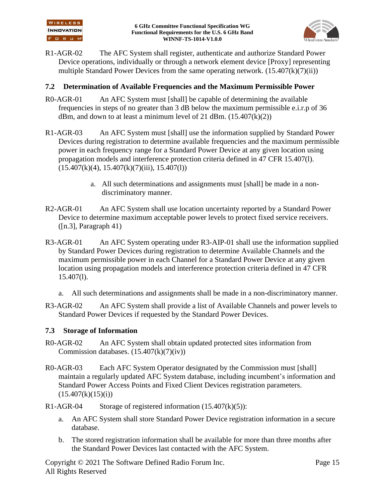

R1-AGR-02 The AFC System shall register, authenticate and authorize Standard Power Device operations, individually or through a network element device [Proxy] representing multiple Standard Power Devices from the same operating network.  $(15.407(k)(7)(ii))$ 

#### **7.2 Determination of Available Frequencies and the Maximum Permissible Power**

- R0-AGR-01 An AFC System must [shall] be capable of determining the available frequencies in steps of no greater than 3 dB below the maximum permissible e.i.r.p of 36 dBm, and down to at least a minimum level of 21 dBm.  $(15.407(k)(2))$
- R1-AGR-03 An AFC System must [shall] use the information supplied by Standard Power Devices during registration to determine available frequencies and the maximum permissible power in each frequency range for a Standard Power Device at any given location using propagation models and interference protection criteria defined in 47 CFR 15.407(l).  $(15.407(k)(4), 15.407(k)(7)(iii), 15.407(l))$ 
	- a. All such determinations and assignments must [shall] be made in a nondiscriminatory manner.
- R2-AGR-01 An AFC System shall use location uncertainty reported by a Standard Power Device to determine maximum acceptable power levels to protect fixed service receivers.  $([n.3],$  Paragraph 41)
- R3-AGR-01 An AFC System operating under [R3-AIP-01](#page-19-0) shall use the information supplied by Standard Power Devices during registration to determine Available Channels and the maximum permissible power in each Channel for a Standard Power Device at any given location using propagation models and interference protection criteria defined in 47 CFR  $15.407(l)$ .
	- a. All such determinations and assignments shall be made in a non-discriminatory manner.
- R3-AGR-02 An AFC System shall provide a list of Available Channels and power levels to Standard Power Devices if requested by the Standard Power Devices.

#### **7.3 Storage of Information**

- R0-AGR-02 An AFC System shall obtain updated protected sites information from Commission databases.  $(15.407(k)(7)(iv))$
- R0-AGR-03 Each AFC System Operator designated by the Commission must [shall] maintain a regularly updated AFC System database, including incumbent's information and Standard Power Access Points and Fixed Client Devices registration parameters.  $(15.407(k)(15)(i))$
- R1-AGR-04 Storage of registered information  $(15.407(k)(5))$ :
	- a. An AFC System shall store Standard Power Device registration information in a secure database.
	- b. The stored registration information shall be available for more than three months after the Standard Power Devices last contacted with the AFC System.

Copyright © 2021 The Software Defined Radio Forum Inc. Page 15 All Rights Reserved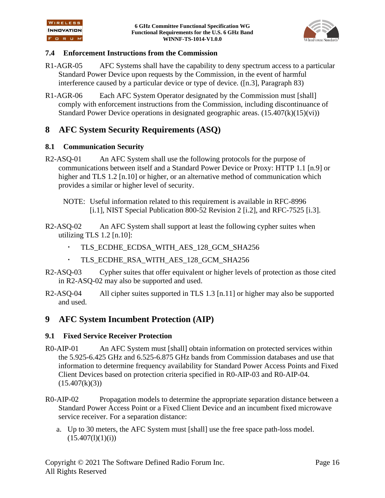

#### **7.4 Enforcement Instructions from the Commission**

- R1-AGR-05 AFC Systems shall have the capability to deny spectrum access to a particular Standard Power Device upon requests by the Commission, in the event of harmful interference caused by a particular device or type of device. [\(\[n.3\],](#page-7-5) Paragraph 83)
- R1-AGR-06 Each AFC System Operator designated by the Commission must [shall] comply with enforcement instructions from the Commission, including discontinuance of Standard Power Device operations in designated geographic areas.  $(15.407(k)(15)(vi))$

## **8 AFC System Security Requirements (ASQ)**

#### **8.1 Communication Security**

- R2-ASQ-01 An AFC System shall use the following protocols for the purpose of communications between itself and a Standard Power Device or Proxy: HTTP 1.1 [\[n.9\]](#page-7-2) or higher and TLS 1.2 [\[n.10\]](#page-7-3) or higher, or an alternative method of communication which provides a similar or higher level of security.
	- NOTE: Useful information related to this requirement is available in RFC-8996 [\[i.1\],](#page-8-0) NIST Special Publication 800-52 Revision 2 [\[i.2\],](#page-8-1) and RFC-7525 [\[i.3\].](#page-8-2)
- <span id="page-16-0"></span>R2-ASQ-02 An AFC System shall support at least the following cypher suites when utilizing TLS 1.2 [\[n.10\]:](#page-7-3)
	- TLS\_ECDHE\_ECDSA\_WITH\_AES\_128\_GCM\_SHA256
	- TLS\_ECDHE\_RSA\_WITH\_AES\_128\_GCM\_SHA256
- R2-ASQ-03 Cypher suites that offer equivalent or higher levels of protection as those cited in [R2-ASQ-02](#page-16-0) may also be supported and used.
- R2-ASQ-04 All cipher suites supported in TLS 1.3 [\[n.11\]](#page-7-4) or higher may also be supported and used.

## **9 AFC System Incumbent Protection (AIP)**

#### **9.1 Fixed Service Receiver Protection**

- <span id="page-16-1"></span>R0-AIP-01 An AFC System must [shall] obtain information on protected services within the 5.925-6.425 GHz and 6.525-6.875 GHz bands from Commission databases and use that information to determine frequency availability for Standard Power Access Points and Fixed Client Devices based on protection criteria specified in [R0-AIP-03](#page-17-0) and [R0-AIP-04.](#page-18-0)  $(15.407(k)(3))$
- R0-AIP-02 Propagation models to determine the appropriate separation distance between a Standard Power Access Point or a Fixed Client Device and an incumbent fixed microwave service receiver. For a separation distance:
	- a. Up to 30 meters, the AFC System must [shall] use the free space path-loss model.  $(15.407(l)(1)(i))$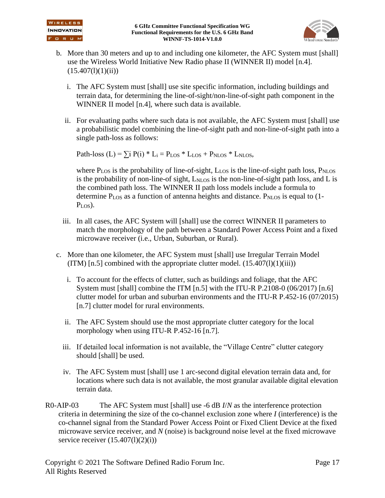

- b. More than 30 meters and up to and including one kilometer, the AFC System must [shall] use the Wireless World Initiative New Radio phase II (WINNER II) model [\[n.4\].](#page-7-6)  $(15.407(l)(1)(ii))$ 
	- i. The AFC System must [shall] use site specific information, including buildings and terrain data, for determining the line-of-sight/non-line-of-sight path component in the WINNER II model [\[n.4\],](#page-7-6) where such data is available.
	- ii. For evaluating paths where such data is not available, the AFC System must [shall] use a probabilistic model combining the line-of-sight path and non-line-of-sight path into a single path-loss as follows:

Path-loss  $(L) = \sum i P(i) * L_i = P_{LOS} * L_{LOS} + P_{NLOS} * L_{NLOS}$ 

where  $P_{LOS}$  is the probability of line-of-sight,  $L_{LOS}$  is the line-of-sight path loss,  $P_{NLOS}$ is the probability of non-line-of sight,  $L_{NLOS}$  is the non-line-of-sight path loss, and L is the combined path loss. The WINNER II path loss models include a formula to determine P<sub>LOS</sub> as a function of antenna heights and distance. P<sub>NLOS</sub> is equal to (1- $P_{LOS}$ ).

- iii. In all cases, the AFC System will [shall] use the correct WINNER II parameters to match the morphology of the path between a Standard Power Access Point and a fixed microwave receiver (i.e., Urban, Suburban, or Rural).
- c. More than one kilometer, the AFC System must [shall] use Irregular Terrain Model  $(ITM)$  [\[n.5\]](#page-7-7) combined with the appropriate clutter model.  $(15.407(l)(1)(iii))$ 
	- i. To account for the effects of clutter, such as buildings and foliage, that the AFC System must [shall] combine the ITM [\[n.5\]](#page-7-7) with the ITU-R P.2108-0 (06/2017) [\[n.6\]](#page-7-8) clutter model for urban and suburban environments and the ITU-R P.452-16 (07/2015) [\[n.7\]](#page-7-9) clutter model for rural environments.
	- ii. The AFC System should use the most appropriate clutter category for the local morphology when using ITU-R P.452-16 [\[n.7\].](#page-7-9)
	- iii. If detailed local information is not available, the "Village Centre" clutter category should [shall] be used.
	- iv. The AFC System must [shall] use 1 arc-second digital elevation terrain data and, for locations where such data is not available, the most granular available digital elevation terrain data.
- <span id="page-17-0"></span>R0-AIP-03 The AFC System must [shall] use -6 dB *I*/*N* as the interference protection criteria in determining the size of the co-channel exclusion zone where *I* (interference) is the co-channel signal from the Standard Power Access Point or Fixed Client Device at the fixed microwave service receiver, and *N* (noise) is background noise level at the fixed microwave service receiver  $(15.407(l)(2)(i))$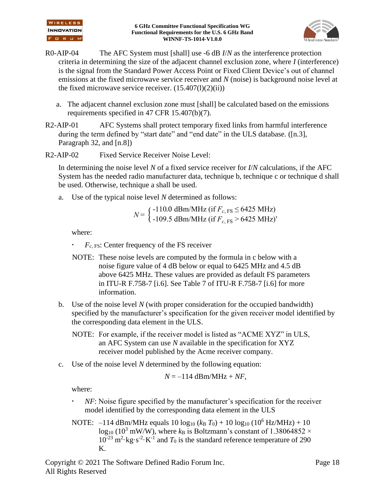

- <span id="page-18-0"></span>R0-AIP-04 The AFC System must [shall] use -6 dB *I*/*N* as the interference protection criteria in determining the size of the adjacent channel exclusion zone, where *I* (interference) is the signal from the Standard Power Access Point or Fixed Client Device's out of channel emissions at the fixed microwave service receiver and *N* (noise) is background noise level at the fixed microwave service receiver.  $(15.407(l)(2)(ii))$ 
	- a. The adjacent channel exclusion zone must [shall] be calculated based on the emissions requirements specified in 47 CFR 15.407(b)(7).
- <span id="page-18-1"></span>R2-AIP-01 AFC Systems shall protect temporary fixed links from harmful interference during the term defined by "start date" and "end date" in the ULS database. [\(\[n.3\],](#page-7-5) Paragraph 32, and [\[n.8\]\)](#page-7-10)
- <span id="page-18-2"></span>R2-AIP-02 Fixed Service Receiver Noise Level:

In determining the noise level *N* of a fixed service receiver for *I*/*N* calculations, if the AFC System has the needed radio manufacturer data, technique b, technique c or technique d shall be used. Otherwise, technique a shall be used.

a. Use of the typical noise level *N* determined as follows:

$$
N = \begin{cases} -110.0 \text{ dBm} / \text{MHz} \text{ (if } F_{c, \text{FS}} \le 6425 \text{ MHz)} \\ -109.5 \text{ dBm} / \text{MHz} \text{ (if } F_{c, \text{FS}} > 6425 \text{ MHz)} \end{cases}
$$

where:

*Fc*, FS: Center frequency of the FS receiver

- NOTE: These noise levels are computed by the formula in c below with a noise figure value of 4 dB below or equal to 6425 MHz and 4.5 dB above 6425 MHz. These values are provided as default FS parameters in ITU-R F.758-7 [\[i.6\].](#page-8-3) See Table 7 of ITU-R F.758-7 [\[i.6\]](#page-8-3) for more information.
- b. Use of the noise level *N* (with proper consideration for the occupied bandwidth) specified by the manufacturer's specification for the given receiver model identified by the corresponding data element in the ULS.
	- NOTE: For example, if the receiver model is listed as "ACME XYZ" in ULS, an AFC System can use *N* available in the specification for XYZ receiver model published by the Acme receiver company.
- c. Use of the noise level *N* determined by the following equation:

$$
N = -114 \text{ dBm} / \text{MHz} + NF,
$$

where:

- *NF*: Noise figure specified by the manufacturer's specification for the receiver model identified by the corresponding data element in the ULS
- NOTE:  $-114 \text{ dBm}/\text{MHz}$  equals  $10 \log_{10} (k_B T_0) + 10 \log_{10} (10^6 \text{Hz}/\text{MHz}) + 10$  $\log_{10} (10^3 \text{ mW/W})$ , where  $k_B$  is Boltzmann's constant of 1.38064852 ×  $10^{-23}$  m<sup>2</sup> $\cdot$ kg $\cdot$ s<sup>-2</sup> $\cdot$ K<sup>-1</sup> and  $T_0$  is the standard reference temperature of 290 K.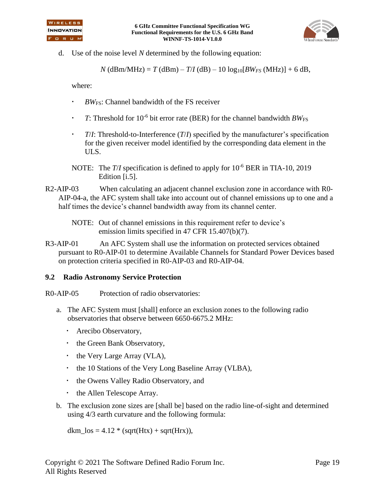



d. Use of the noise level *N* determined by the following equation:

 $N$  (dBm/MHz) = *T* (dBm) – *T*/*I* (dB) – 10 log<sub>10</sub>[*BW<sub>FS</sub>* (MHz)] + 6 dB,

where:

- *BW*FS: Channel bandwidth of the FS receiver
- **T**: Threshold for  $10^{-6}$  bit error rate (BER) for the channel bandwidth  $BW_{FS}$
- *T*/*I*: Threshold-to-Interference (*T*/*I*) specified by the manufacturer's specification for the given receiver model identified by the corresponding data element in the ULS.
- NOTE: The *T*/*I* specification is defined to apply for  $10^{-6}$  BER in TIA-10, 2019 Edition [\[i.5\].](#page-8-4)
- R2-AIP-03 When calculating an adjacent channel exclusion zone in accordance with [R0-](#page-18-0) [AIP-04-](#page-18-0)[a,](#page-18-1) the AFC system shall take into account out of channel emissions up to one and a half times the device's channel bandwidth away from its channel center.

<span id="page-19-0"></span>R3-AIP-01 An AFC System shall use the information on protected services obtained pursuant to [R0-AIP-01](#page-16-1) to determine Available Channels for Standard Power Devices based on protection criteria specified in [R0-AIP-03](#page-17-0) and [R0-AIP-04.](#page-18-0)

#### **9.2 Radio Astronomy Service Protection**

- <span id="page-19-1"></span>R0-AIP-05 Protection of radio observatories:
	- a. The AFC System must [shall] enforce an exclusion zones to the following radio observatories that observe between 6650-6675.2 MHz:
		- Arecibo Observatory,
		- the Green Bank Observatory,
		- the Very Large Array (VLA),
		- the 10 Stations of the Very Long Baseline Array (VLBA),
		- the Owens Valley Radio Observatory, and
		- the Allen Telescope Array.
	- b. The exclusion zone sizes are [shall be] based on the radio line-of-sight and determined using 4/3 earth curvature and the following formula:

dkm\_los =  $4.12 * (sqrt(Htx) + sqrt(Hrx)),$ 

NOTE: Out of channel emissions in this requirement refer to device's emission limits specified in 47 CFR 15.407(b)(7).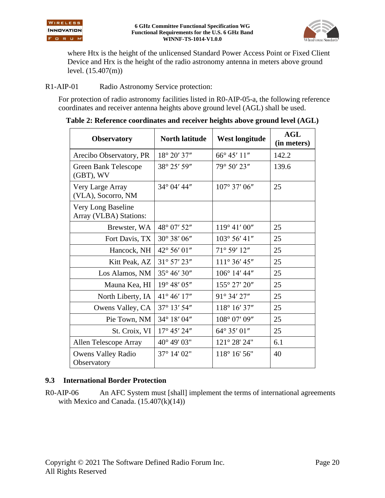

where Htx is the height of the unlicensed Standard Power Access Point or Fixed Client Device and Hrx is the height of the radio astronomy antenna in meters above ground level. (15.407(m))

R1-AIP-01 Radio Astronomy Service protection:

For protection of radio astronomy facilities listed in [R0-AIP-05-](#page-19-1)a, the following reference coordinates and receiver antenna heights above ground level (AGL) shall be used.

| <b>Observatory</b>                           | <b>North latitude</b> | <b>West longitude</b>  | AGL<br>(in meters) |
|----------------------------------------------|-----------------------|------------------------|--------------------|
| Arecibo Observatory, PR                      | 18° 20' 37"           | $66^{\circ} 45' 11''$  | 142.2              |
| <b>Green Bank Telescope</b><br>(GBT), WV     | 38° 25' 59"           | 79° 50' 23"            | 139.6              |
| Very Large Array<br>(VLA), Socorro, NM       | 34° 04' 44"           | $107^{\circ}$ 37' 06"  | 25                 |
| Very Long Baseline<br>Array (VLBA) Stations: |                       |                        |                    |
| Brewster, WA                                 | 48° 07' 52"           | $119^{\circ}$ 41' 00"  | 25                 |
| Fort Davis, TX                               | 30° 38' 06"           | 103° 56' 41"           | 25                 |
| Hancock, NH                                  | 42° 56' 01"           | 71° 59' 12"            | 25                 |
| Kitt Peak, AZ                                | 31° 57' 23"           | $111^{\circ} 36' 45''$ | 25                 |
| Los Alamos, NM                               | 35° 46' 30"           | $106^{\circ}$ 14' 44"  | 25                 |
| Mauna Kea, HI                                | 19° 48' 05"           | 155° 27' 20"           | 25                 |
| North Liberty, IA                            | 41° 46' 17"           | 91° 34' 27"            | 25                 |
| Owens Valley, CA                             | 37° 13' 54"           | 118° 16' 37"           | 25                 |
| Pie Town, NM                                 | 34° 18' 04"           | 108° 07' 09"           | 25                 |
| St. Croix, VI                                | $17^{\circ}$ 45' 24"  | 64° 35' 01"            | 25                 |
| Allen Telescope Array                        | 40° 49' 03"           | 121° 28' 24"           | 6.1                |
| <b>Owens Valley Radio</b><br>Observatory     | 37° 14' 02"           | 118° 16' 56"           | 40                 |

**Table 2: Reference coordinates and receiver heights above ground level (AGL)**

#### **9.3 International Border Protection**

R0-AIP-06 An AFC System must [shall] implement the terms of international agreements with Mexico and Canada.  $(15.407(k)(14))$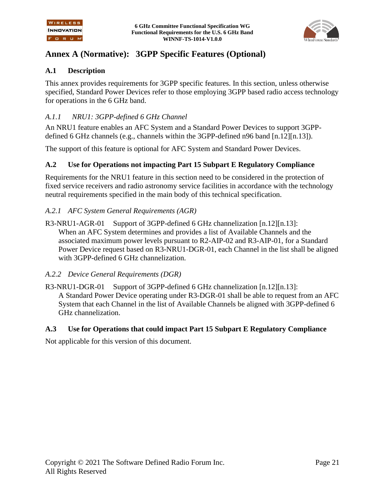

## **Annex A (Normative): 3GPP Specific Features (Optional)**

#### **A.1 Description**

This annex provides requirements for 3GPP specific features. In this section, unless otherwise specified, Standard Power Devices refer to those employing 3GPP based radio access technology for operations in the 6 GHz band.

#### *A.1.1 NRU1: 3GPP-defined 6 GHz Channel*

An NRU1 feature enables an AFC System and a Standard Power Devices to support 3GPPdefined 6 GHz channels (e.g., channels within the 3GPP-defined n96 band [\[n.12\]](#page-7-11)[\[n.13\]\)](#page-7-12).

The support of this feature is optional for AFC System and Standard Power Devices.

#### **A.2 Use for Operations not impacting Part 15 Subpart E Regulatory Compliance**

Requirements for the NRU1 feature in this section need to be considered in the protection of fixed service receivers and radio astronomy service facilities in accordance with the technology neutral requirements specified in the main body of this technical specification.

#### *A.2.1 AFC System General Requirements (AGR)*

R3-NRU1-AGR-01 Support of 3GPP-defined 6 GHz channelization [\[n.12\]](#page-7-11)[\[n.13\]:](#page-7-12) When an AFC System determines and provides a list of Available Channels and the associated maximum power levels pursuant to [R2-AIP-02](#page-18-2) and [R3-AIP-01,](#page-19-0) for a Standard Power Device request based on [R3-NRU1-DGR-01,](#page-21-0) each Channel in the list shall be aligned with 3GPP-defined 6 GHz channelization.

#### *A.2.2 Device General Requirements (DGR)*

<span id="page-21-0"></span>R3-NRU1-DGR-01 Support of 3GPP-defined 6 GHz channelization [\[n.12\]](#page-7-11)[\[n.13\]:](#page-7-12) A Standard Power Device operating under [R3-DGR-01](#page-13-1) shall be able to request from an AFC System that each Channel in the list of Available Channels be aligned with 3GPP-defined 6 GHz channelization.

#### **A.3 Use for Operations that could impact Part 15 Subpart E Regulatory Compliance**

Not applicable for this version of this document.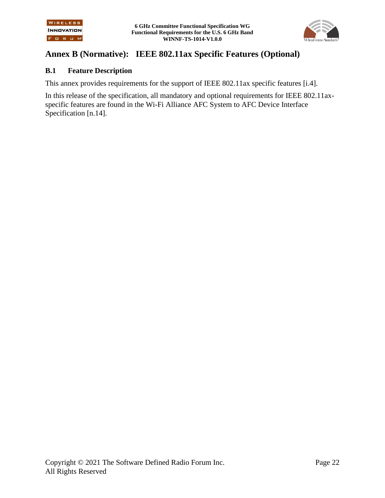

## **Annex B (Normative): IEEE 802.11ax Specific Features (Optional)**

#### **B.1 Feature Description**

This annex provides requirements for the support of IEEE 802.11ax specific features [\[i.4\].](#page-8-5)

In this release of the specification, all mandatory and optional requirements for IEEE 802.11axspecific features are found in the Wi-Fi Alliance AFC System to AFC Device Interface Specification [\[n.14\].](#page-7-13)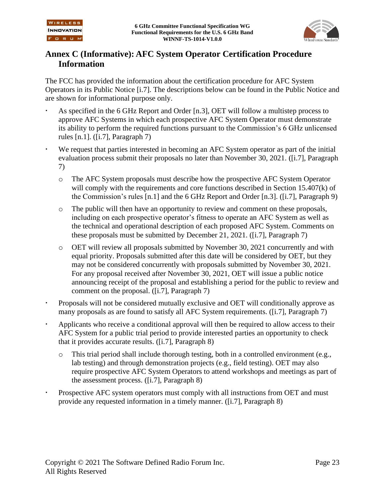

## **Annex C (Informative): AFC System Operator Certification Procedure Information**

The FCC has provided the information about the certification procedure for AFC System Operators in its Public Notice [\[i.7\].](#page-8-6) The descriptions below can be found in the Public Notice and are shown for informational purpose only.

- As specified in the 6 GHz Report and Order [\[n.3\],](#page-7-5) OET will follow a multistep process to approve AFC Systems in which each prospective AFC System Operator must demonstrate its ability to perform the required functions pursuant to the Commission's 6 GHz unlicensed rules [\[n.1\].](#page-7-0) [\(\[i.7\],](#page-8-6) Paragraph 7)
- We request that parties interested in becoming an AFC System operator as part of the initial evaluation process submit their proposals no later than November 30, 2021. [\(\[i.7\],](#page-8-6) Paragraph 7)
	- o The AFC System proposals must describe how the prospective AFC System Operator will comply with the requirements and core functions described in Section 15.407(k) of the Commission's rules [\[n.1\]](#page-7-0) and the 6 GHz Report and Order [\[n.3\].](#page-7-5) [\(\[i.7\],](#page-8-6) Paragraph 9)
	- o The public will then have an opportunity to review and comment on these proposals, including on each prospective operator's fitness to operate an AFC System as well as the technical and operational description of each proposed AFC System. Comments on these proposals must be submitted by December 21, 2021. [\(\[i.7\],](#page-8-6) Paragraph 7)
	- o OET will review all proposals submitted by November 30, 2021 concurrently and with equal priority. Proposals submitted after this date will be considered by OET, but they may not be considered concurrently with proposals submitted by November 30, 2021. For any proposal received after November 30, 2021, OET will issue a public notice announcing receipt of the proposal and establishing a period for the public to review and comment on the proposal. [\(\[i.7\],](#page-8-6) Paragraph 7)
- Proposals will not be considered mutually exclusive and OET will conditionally approve as many proposals as are found to satisfy all AFC System requirements. [\(\[i.7\],](#page-8-6) Paragraph 7)
- Applicants who receive a conditional approval will then be required to allow access to their AFC System for a public trial period to provide interested parties an opportunity to check that it provides accurate results. [\(\[i.7\],](#page-8-6) Paragraph 8)
	- $\circ$  This trial period shall include thorough testing, both in a controlled environment (e.g., lab testing) and through demonstration projects (e.g., field testing). OET may also require prospective AFC System Operators to attend workshops and meetings as part of the assessment process. [\(\[i.7\],](#page-8-6) Paragraph 8)
- Prospective AFC system operators must comply with all instructions from OET and must provide any requested information in a timely manner. [\(\[i.7\],](#page-8-6) Paragraph 8)